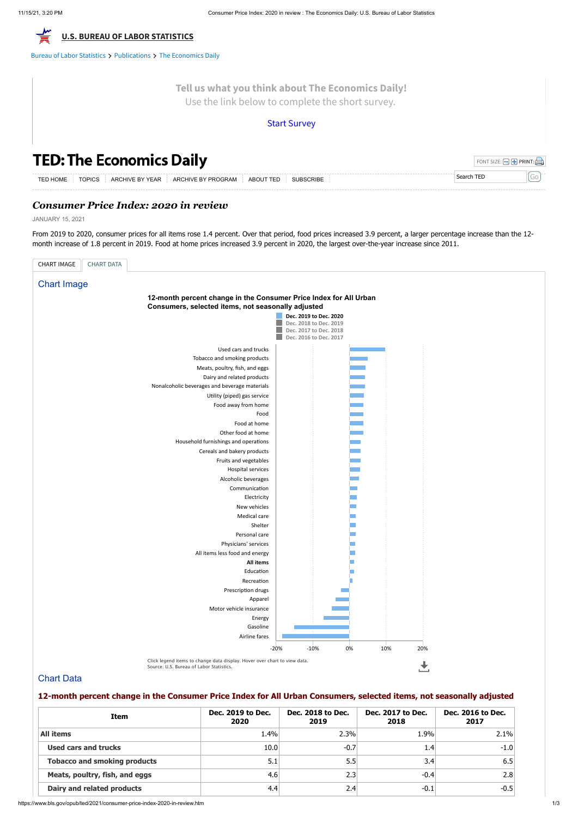# *Consumer Price Index: 2020 in review*

JANUARY 15, 2021

From 2019 to 2020, consumer prices for all items rose 1.4 percent. Over that period, food prices increased 3.9 percent, a larger percentage increase than the 12 month increase of 1.8 percent in 2019. Food at home prices increased 3.9 percent in 2020, the largest over-the-year increase since 2011.

| <b>TED: The Economics Daily</b>                                                                                      | FONT SIZE: $\Box$ <b>+</b> PRINT: |  |
|----------------------------------------------------------------------------------------------------------------------|-----------------------------------|--|
| ABOUT TED SUBSCRIBE<br>$\overline{a}$ ARCHIVE BY YEAR $\overline{a}$ ARCHIVE BY PROGRAM<br><b>TOPICS</b><br>TED HOME | Search TED                        |  |

## Chart Data

## **12-month percent change in the Consumer Price Index for All Urban Consumers, selected items, not seasonally adjusted**

| Item                                | Dec. 2019 to Dec.<br>2020 | Dec. 2018 to Dec.<br>2019 | Dec. 2017 to Dec.<br>2018 | Dec. 2016 to Dec.<br>2017 |
|-------------------------------------|---------------------------|---------------------------|---------------------------|---------------------------|
| <b>All items</b>                    | 1.4%                      | 2.3%                      | 1.9%                      | 2.1%                      |
| Used cars and trucks                | 10.0                      | $-0.7$                    | 1.4                       | $-1.0$                    |
| <b>Tobacco and smoking products</b> | 5.1                       | 5.5                       | 3.4                       | 6.5                       |
| Meats, poultry, fish, and eggs      | 4.6                       | 2.3                       | $-0.4$                    | 2.8                       |
| Dairy and related products          | 4.4                       | 2.4                       | $-0.1$                    | $-0.5$                    |



Bureau of Labor [Statistics](https://www.bls.gov/) > [Publications](https://www.bls.gov/opub/) > The [Economics](https://www.bls.gov/opub/ted/) Daily

| <b>CHART IMAGE</b><br>CHART DATA                                  |                        |  |  |  |  |  |  |
|-------------------------------------------------------------------|------------------------|--|--|--|--|--|--|
| <b>Chart Image</b>                                                |                        |  |  |  |  |  |  |
|                                                                   |                        |  |  |  |  |  |  |
| 12-month percent change in the Consumer Price Index for All Urban |                        |  |  |  |  |  |  |
| Consumers, selected items, not seasonally adjusted                |                        |  |  |  |  |  |  |
| Dec. 2019 to Dec. 2020<br>Dec. 2018 to Dec. 2019                  |                        |  |  |  |  |  |  |
|                                                                   | Dec. 2017 to Dec. 2018 |  |  |  |  |  |  |
|                                                                   | Dec. 2016 to Dec. 2017 |  |  |  |  |  |  |
| Used cars and trucks                                              |                        |  |  |  |  |  |  |
| Tobacco and smoking products                                      |                        |  |  |  |  |  |  |
| Meats, poultry, fish, and eggs                                    |                        |  |  |  |  |  |  |
| Dairy and related products                                        |                        |  |  |  |  |  |  |
| Nonalcoholic beverages and beverage materials                     |                        |  |  |  |  |  |  |
| Utility (piped) gas service                                       |                        |  |  |  |  |  |  |
| Food away from home                                               |                        |  |  |  |  |  |  |
| Food                                                              |                        |  |  |  |  |  |  |
| Food at home                                                      |                        |  |  |  |  |  |  |
| Other food at home                                                |                        |  |  |  |  |  |  |
| Household furnishings and operations                              |                        |  |  |  |  |  |  |
| Cereals and bakery products                                       |                        |  |  |  |  |  |  |
| Fruits and vegetables                                             |                        |  |  |  |  |  |  |
| Hospital services                                                 |                        |  |  |  |  |  |  |
| Alcoholic beverages                                               |                        |  |  |  |  |  |  |
| Communication                                                     |                        |  |  |  |  |  |  |
| Electricity                                                       |                        |  |  |  |  |  |  |
| New vehicles                                                      |                        |  |  |  |  |  |  |
| Medical care<br>Shelter                                           |                        |  |  |  |  |  |  |
| Personal care                                                     |                        |  |  |  |  |  |  |
| Physicians' services                                              |                        |  |  |  |  |  |  |
| All items less food and energy                                    |                        |  |  |  |  |  |  |
| All items                                                         |                        |  |  |  |  |  |  |
| Education                                                         |                        |  |  |  |  |  |  |
| Recreation                                                        |                        |  |  |  |  |  |  |
| Prescription drugs                                                |                        |  |  |  |  |  |  |
| Apparel                                                           |                        |  |  |  |  |  |  |
| Motor vehicle insurance                                           |                        |  |  |  |  |  |  |
|                                                                   |                        |  |  |  |  |  |  |



**Tell us what you think about The Economics Daily!** Use the link below to complete the short survey.

## Start [Survey](https://www.surveymonkey.com/r/2QSKTBD)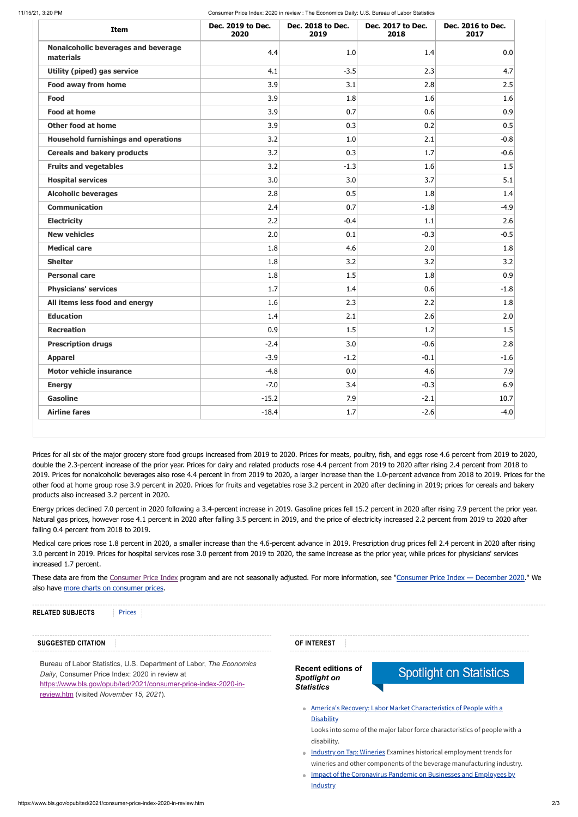11/15/21, 3:20 PM Consumer Price Index: 2020 in review : The Economics Daily: U.S. Bureau of Labor Statistics

| Item                                                    | Dec. 2019 to Dec.<br>2020 | Dec. 2018 to Dec.<br>2019 | Dec. 2017 to Dec.<br>2018 | Dec. 2016 to Dec.<br>2017 |
|---------------------------------------------------------|---------------------------|---------------------------|---------------------------|---------------------------|
| <b>Nonalcoholic beverages and beverage</b><br>materials | 4.4                       | 1.0                       | 1.4                       | 0.0                       |
| <b>Utility (piped) gas service</b>                      | 4.1                       | $-3.5$                    | 2.3                       | 4.7                       |
| <b>Food away from home</b>                              | 3.9                       | 3.1                       | 2.8                       | 2.5                       |
| <b>Food</b>                                             | 3.9                       | 1.8                       | 1.6                       | 1.6                       |
| <b>Food at home</b>                                     | 3.9                       | 0.7                       | 0.6                       | 0.9                       |
| <b>Other food at home</b>                               | 3.9                       | 0.3                       | 0.2                       | 0.5                       |
| <b>Household furnishings and operations</b>             | 3.2                       | 1.0                       | 2.1                       | $-0.8$                    |
| <b>Cereals and bakery products</b>                      | 3.2                       | 0.3                       | 1.7                       | $-0.6$                    |
| <b>Fruits and vegetables</b>                            | 3.2                       | $-1.3$                    | 1.6                       | 1.5                       |
| <b>Hospital services</b>                                | 3.0                       | 3.0                       | 3.7                       | 5.1                       |
| <b>Alcoholic beverages</b>                              | 2.8                       | 0.5                       | 1.8                       | 1.4                       |
| <b>Communication</b>                                    | 2.4                       | 0.7                       | $-1.8$                    | $-4.9$                    |
| <b>Electricity</b>                                      | 2.2                       | $-0.4$                    | 1.1                       | 2.6                       |
| <b>New vehicles</b>                                     | 2.0                       | 0.1                       | $-0.3$                    | $-0.5$                    |
| <b>Medical care</b>                                     | 1.8                       | 4.6                       | 2.0                       | 1.8                       |
| <b>Shelter</b>                                          | 1.8                       | 3.2                       | 3.2                       | 3.2                       |
| <b>Personal care</b>                                    | 1.8                       | 1.5                       | 1.8                       | 0.9                       |
| <b>Physicians' services</b>                             | 1.7                       | 1.4                       | 0.6                       | $-1.8$                    |
| All items less food and energy                          | 1.6                       | 2.3                       | 2.2                       | 1.8                       |
| <b>Education</b>                                        | 1.4                       | 2.1                       | 2.6                       | 2.0                       |
| <b>Recreation</b>                                       | 0.9                       | 1.5                       | 1.2                       | $1.5\,$                   |
| <b>Prescription drugs</b>                               | $-2.4$                    | 3.0                       | $-0.6$                    | 2.8                       |
| <b>Apparel</b>                                          | $-3.9$                    | $-1.2$                    | $-0.1$                    | $-1.6$                    |
| <b>Motor vehicle insurance</b>                          | $-4.8$                    | 0.0                       | 4.6                       | 7.9                       |
| <b>Energy</b>                                           | $-7.0$                    | 3.4                       | $-0.3$                    | 6.9                       |
| <b>Gasoline</b>                                         | $-15.2$                   | 7.9                       | $-2.1$                    | 10.7                      |
| <b>Airline fares</b>                                    | $-18.4$                   | 1.7                       | $-2.6$                    | $-4.0$                    |

These data are from the [Consumer](https://www.bls.gov/cpi/) Price Index program and are not seasonally adjusted. For more information, see ["Consumer](https://www.bls.gov/news.release/archives/cpi_01132021.htm) Price Index - December 2020." We also have more charts on [consumer](https://www.bls.gov/charts/consumer-price-index/) prices.

Prices for all six of the major grocery store food groups increased from 2019 to 2020. Prices for meats, poultry, fish, and eggs rose 4.6 percent from 2019 to 2020, double the 2.3-percent increase of the prior year. Prices for dairy and related products rose 4.4 percent from 2019 to 2020 after rising 2.4 percent from 2018 to 2019. Prices for nonalcoholic beverages also rose 4.4 percent in from 2019 to 2020, a larger increase than the 1.0-percent advance from 2018 to 2019. Prices for the other food at home group rose 3.9 percent in 2020. Prices for fruits and vegetables rose 3.2 percent in 2020 after declining in 2019; prices for cereals and bakery products also increased 3.2 percent in 2020.

Energy prices declined 7.0 percent in 2020 following a 3.4-percent increase in 2019. Gasoline prices fell 15.2 percent in 2020 after rising 7.9 percent the prior year. Natural gas prices, however rose 4.1 percent in 2020 after falling 3.5 percent in 2019, and the price of electricity increased 2.2 percent from 2019 to 2020 after falling 0.4 percent from 2018 to 2019.

Medical care prices rose 1.8 percent in 2020, a smaller increase than the 4.6-percent advance in 2019. Prescription drug prices fell 2.4 percent in 2020 after rising 3.0 percent in 2019. Prices for hospital services rose 3.0 percent from 2019 to 2020, the same increase as the prior year, while prices for physicians' services increased 1.7 percent.

Bureau of Labor Statistics, U.S. Department of Labor, *The Economics Daily*, Consumer Price Index: 2020 in review at [https://www.bls.gov/opub/ted/2021/consumer-price-index-2020-in](https://www.bls.gov/opub/ted/2021/consumer-price-index-2020-in-review.htm)review.htm (visited *November 15, 2021*).

#### **SUGGESTED CITATION**

**Recent editions of** *Spotlight on Statistics*

# **Spotlight on Statistics**

**America's Recovery: Labor Market [Characteristics](https://www.bls.gov/spotlight/2021/labor-market-characteristics-of-people-with-a-disability/home.htm) of People with a** 

#### **Disability**

Looks into some of the major labor force characteristics of people with a disability.

- Industry on Tap: [Wineries](https://www.bls.gov/spotlight/2021/industry-on-tap-wineries/home.htm) Examines historical employment trends for wineries and other components of the beverage manufacturing industry.
- **Impact of the [Coronavirus](https://www.bls.gov/spotlight/2021/impact-of-the-coronavirus-pandemic-on-businesses-and-employees-by-industry/home.htm) Pandemic on Businesses and Employees by Industry**

**OF INTEREST**